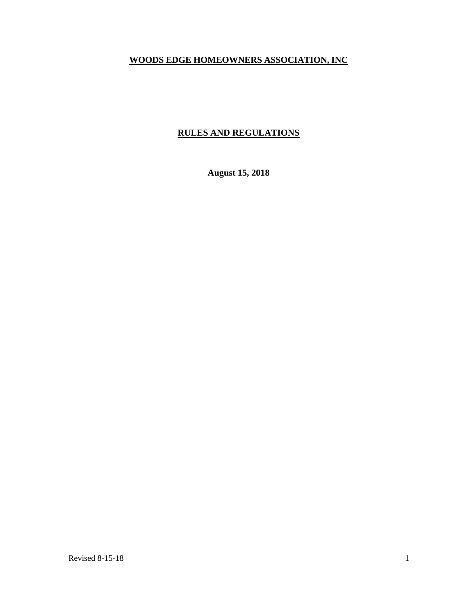# **WOODS EDGE HOMEOWNERS ASSOCIATION, INC**

# **RULES AND REGULATIONS**

**August 15, 2018**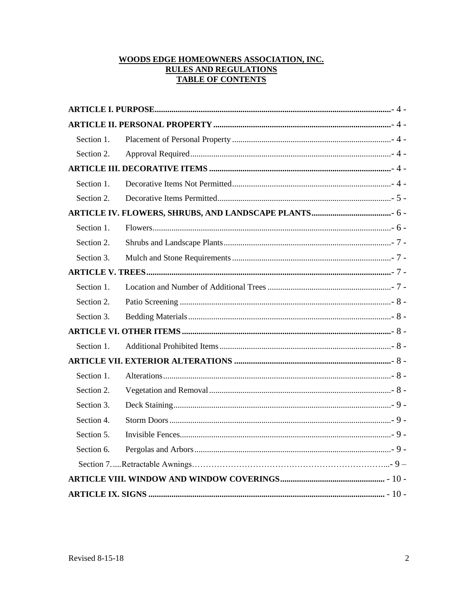# WOODS EDGE HOMEOWNERS ASSOCIATION, INC. **RULES AND REGULATIONS TABLE OF CONTENTS**

| Section 1. |  |  |  |  |  |
|------------|--|--|--|--|--|
| Section 2. |  |  |  |  |  |
|            |  |  |  |  |  |
| Section 1. |  |  |  |  |  |
| Section 2. |  |  |  |  |  |
|            |  |  |  |  |  |
| Section 1. |  |  |  |  |  |
| Section 2. |  |  |  |  |  |
| Section 3. |  |  |  |  |  |
|            |  |  |  |  |  |
| Section 1. |  |  |  |  |  |
| Section 2. |  |  |  |  |  |
| Section 3. |  |  |  |  |  |
|            |  |  |  |  |  |
| Section 1. |  |  |  |  |  |
|            |  |  |  |  |  |
| Section 1. |  |  |  |  |  |
| Section 2. |  |  |  |  |  |
| Section 3. |  |  |  |  |  |
| Section 4. |  |  |  |  |  |
| Section 5. |  |  |  |  |  |
| Section 6. |  |  |  |  |  |
|            |  |  |  |  |  |
|            |  |  |  |  |  |
|            |  |  |  |  |  |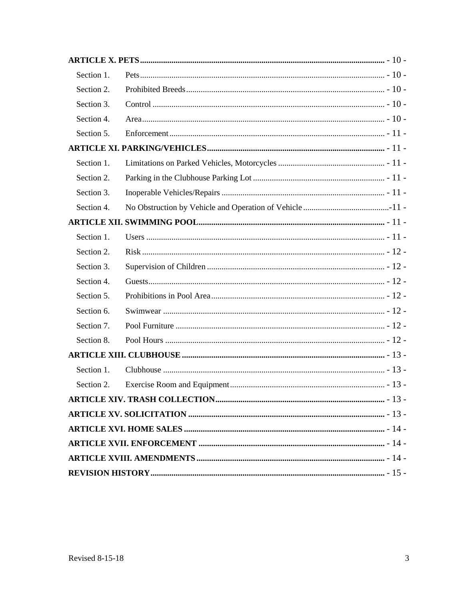| Section 1. |  |  |  |  |  |  |
|------------|--|--|--|--|--|--|
| Section 2. |  |  |  |  |  |  |
| Section 3. |  |  |  |  |  |  |
| Section 4. |  |  |  |  |  |  |
| Section 5. |  |  |  |  |  |  |
|            |  |  |  |  |  |  |
| Section 1. |  |  |  |  |  |  |
| Section 2. |  |  |  |  |  |  |
| Section 3. |  |  |  |  |  |  |
| Section 4. |  |  |  |  |  |  |
|            |  |  |  |  |  |  |
| Section 1. |  |  |  |  |  |  |
| Section 2. |  |  |  |  |  |  |
| Section 3. |  |  |  |  |  |  |
| Section 4. |  |  |  |  |  |  |
| Section 5. |  |  |  |  |  |  |
| Section 6. |  |  |  |  |  |  |
| Section 7. |  |  |  |  |  |  |
| Section 8. |  |  |  |  |  |  |
|            |  |  |  |  |  |  |
| Section 1. |  |  |  |  |  |  |
| Section 2. |  |  |  |  |  |  |
|            |  |  |  |  |  |  |
|            |  |  |  |  |  |  |
|            |  |  |  |  |  |  |
|            |  |  |  |  |  |  |
|            |  |  |  |  |  |  |
|            |  |  |  |  |  |  |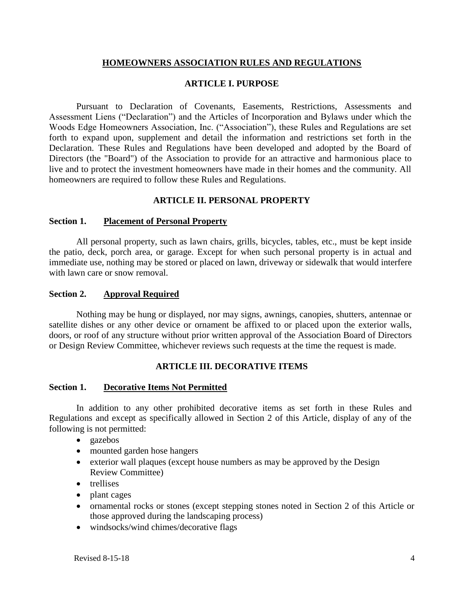## **HOMEOWNERS ASSOCIATION RULES AND REGULATIONS**

### **ARTICLE I. PURPOSE**

Pursuant to Declaration of Covenants, Easements, Restrictions, Assessments and Assessment Liens ("Declaration") and the Articles of Incorporation and Bylaws under which the Woods Edge Homeowners Association, Inc. ("Association"), these Rules and Regulations are set forth to expand upon, supplement and detail the information and restrictions set forth in the Declaration. These Rules and Regulations have been developed and adopted by the Board of Directors (the "Board") of the Association to provide for an attractive and harmonious place to live and to protect the investment homeowners have made in their homes and the community. All homeowners are required to follow these Rules and Regulations.

### **ARTICLE II. PERSONAL PROPERTY**

#### **Section 1. Placement of Personal Property**

All personal property, such as lawn chairs, grills, bicycles, tables, etc., must be kept inside the patio, deck, porch area, or garage. Except for when such personal property is in actual and immediate use, nothing may be stored or placed on lawn, driveway or sidewalk that would interfere with lawn care or snow removal.

#### **Section 2. Approval Required**

Nothing may be hung or displayed, nor may signs, awnings, canopies, shutters, antennae or satellite dishes or any other device or ornament be affixed to or placed upon the exterior walls, doors, or roof of any structure without prior written approval of the Association Board of Directors or Design Review Committee, whichever reviews such requests at the time the request is made.

### **ARTICLE III. DECORATIVE ITEMS**

### **Section 1. Decorative Items Not Permitted**

In addition to any other prohibited decorative items as set forth in these Rules and Regulations and except as specifically allowed in Section 2 of this Article, display of any of the following is not permitted:

- gazebos
- mounted garden hose hangers
- exterior wall plaques (except house numbers as may be approved by the Design Review Committee)
- trellises
- plant cages
- ornamental rocks or stones (except stepping stones noted in Section 2 of this Article or those approved during the landscaping process)
- windsocks/wind chimes/decorative flags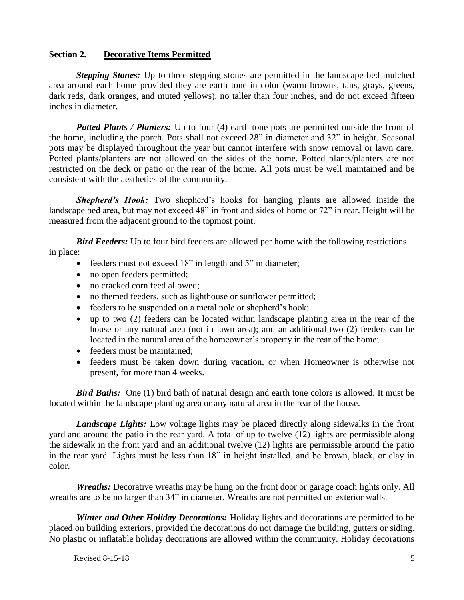# **Section 2. Decorative Items Permitted**

*Stepping Stones:* Up to three stepping stones are permitted in the landscape bed mulched area around each home provided they are earth tone in color (warm browns, tans, grays, greens, dark reds, dark oranges, and muted yellows), no taller than four inches, and do not exceed fifteen inches in diameter.

*Potted Plants / Planters:* Up to four (4) earth tone pots are permitted outside the front of the home, including the porch. Pots shall not exceed 28" in diameter and 32" in height. Seasonal pots may be displayed throughout the year but cannot interfere with snow removal or lawn care. Potted plants/planters are not allowed on the sides of the home. Potted plants/planters are not restricted on the deck or patio or the rear of the home. All pots must be well maintained and be consistent with the aesthetics of the community.

**Shepherd's Hook:** Two shepherd's hooks for hanging plants are allowed inside the landscape bed area, but may not exceed 48" in front and sides of home or 72" in rear. Height will be measured from the adjacent ground to the topmost point.

*Bird Feeders:* Up to four bird feeders are allowed per home with the following restrictions in place:

- feeders must not exceed 18" in length and 5" in diameter;
- no open feeders permitted;
- no cracked corn feed allowed;
- no themed feeders, such as lighthouse or sunflower permitted;
- feeders to be suspended on a metal pole or shepherd's hook;
- up to two (2) feeders can be located within landscape planting area in the rear of the house or any natural area (not in lawn area); and an additional two (2) feeders can be located in the natural area of the homeowner's property in the rear of the home;
- feeders must be maintained;
- feeders must be taken down during vacation, or when Homeowner is otherwise not present, for more than 4 weeks.

*Bird Baths:* One (1) bird bath of natural design and earth tone colors is allowed. It must be located within the landscape planting area or any natural area in the rear of the house.

*Landscape Lights:* Low voltage lights may be placed directly along sidewalks in the front yard and around the patio in the rear yard. A total of up to twelve (12) lights are permissible along the sidewalk in the front yard and an additional twelve (12) lights are permissible around the patio in the rear yard. Lights must be less than 18" in height installed, and be brown, black, or clay in color.

*Wreaths:* Decorative wreaths may be hung on the front door or garage coach lights only. All wreaths are to be no larger than 34" in diameter. Wreaths are not permitted on exterior walls.

*Winter and Other Holiday Decorations:* Holiday lights and decorations are permitted to be placed on building exteriors, provided the decorations do not damage the building, gutters or siding. No plastic or inflatable holiday decorations are allowed within the community. Holiday decorations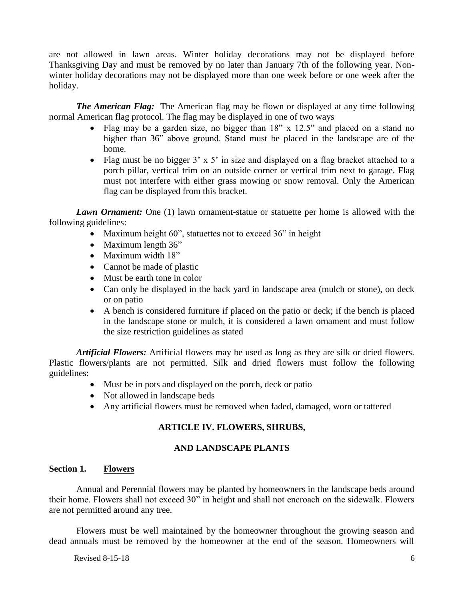are not allowed in lawn areas. Winter holiday decorations may not be displayed before Thanksgiving Day and must be removed by no later than January 7th of the following year. Nonwinter holiday decorations may not be displayed more than one week before or one week after the holiday.

*The American Flag:* The American flag may be flown or displayed at any time following normal American flag protocol. The flag may be displayed in one of two ways

- Flag may be a garden size, no bigger than 18" x 12.5" and placed on a stand no higher than 36" above ground. Stand must be placed in the landscape are of the home.
- Flag must be no bigger  $3' \times 5'$  in size and displayed on a flag bracket attached to a porch pillar, vertical trim on an outside corner or vertical trim next to garage. Flag must not interfere with either grass mowing or snow removal. Only the American flag can be displayed from this bracket.

*Lawn Ornament:* One (1) lawn ornament-statue or statuette per home is allowed with the following guidelines:

- Maximum height 60", statuettes not to exceed 36" in height
- Maximum length 36"
- Maximum width 18"
- Cannot be made of plastic
- Must be earth tone in color
- Can only be displayed in the back yard in landscape area (mulch or stone), on deck or on patio
- A bench is considered furniture if placed on the patio or deck; if the bench is placed in the landscape stone or mulch, it is considered a lawn ornament and must follow the size restriction guidelines as stated

*Artificial Flowers:* Artificial flowers may be used as long as they are silk or dried flowers. Plastic flowers/plants are not permitted. Silk and dried flowers must follow the following guidelines:

- Must be in pots and displayed on the porch, deck or patio
- Not allowed in landscape beds
- Any artificial flowers must be removed when faded, damaged, worn or tattered

# **ARTICLE IV. FLOWERS, SHRUBS,**

### **AND LANDSCAPE PLANTS**

## **Section 1. Flowers**

Annual and Perennial flowers may be planted by homeowners in the landscape beds around their home. Flowers shall not exceed 30" in height and shall not encroach on the sidewalk. Flowers are not permitted around any tree.

Flowers must be well maintained by the homeowner throughout the growing season and dead annuals must be removed by the homeowner at the end of the season. Homeowners will

Revised 8-15-18  $\qquad \qquad$  6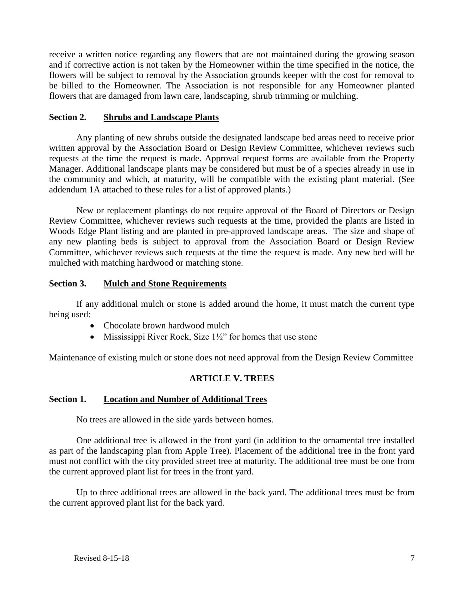receive a written notice regarding any flowers that are not maintained during the growing season and if corrective action is not taken by the Homeowner within the time specified in the notice, the flowers will be subject to removal by the Association grounds keeper with the cost for removal to be billed to the Homeowner. The Association is not responsible for any Homeowner planted flowers that are damaged from lawn care, landscaping, shrub trimming or mulching.

# **Section 2. Shrubs and Landscape Plants**

Any planting of new shrubs outside the designated landscape bed areas need to receive prior written approval by the Association Board or Design Review Committee, whichever reviews such requests at the time the request is made. Approval request forms are available from the Property Manager. Additional landscape plants may be considered but must be of a species already in use in the community and which, at maturity, will be compatible with the existing plant material. (See addendum 1A attached to these rules for a list of approved plants.)

New or replacement plantings do not require approval of the Board of Directors or Design Review Committee, whichever reviews such requests at the time, provided the plants are listed in Woods Edge Plant listing and are planted in pre-approved landscape areas. The size and shape of any new planting beds is subject to approval from the Association Board or Design Review Committee, whichever reviews such requests at the time the request is made. Any new bed will be mulched with matching hardwood or matching stone.

# **Section 3. Mulch and Stone Requirements**

If any additional mulch or stone is added around the home, it must match the current type being used:

- Chocolate brown hardwood mulch
- Mississippi River Rock, Size 1½" for homes that use stone

Maintenance of existing mulch or stone does not need approval from the Design Review Committee

### **ARTICLE V. TREES**

### **Section 1. Location and Number of Additional Trees**

No trees are allowed in the side yards between homes.

One additional tree is allowed in the front yard (in addition to the ornamental tree installed as part of the landscaping plan from Apple Tree). Placement of the additional tree in the front yard must not conflict with the city provided street tree at maturity. The additional tree must be one from the current approved plant list for trees in the front yard.

Up to three additional trees are allowed in the back yard. The additional trees must be from the current approved plant list for the back yard.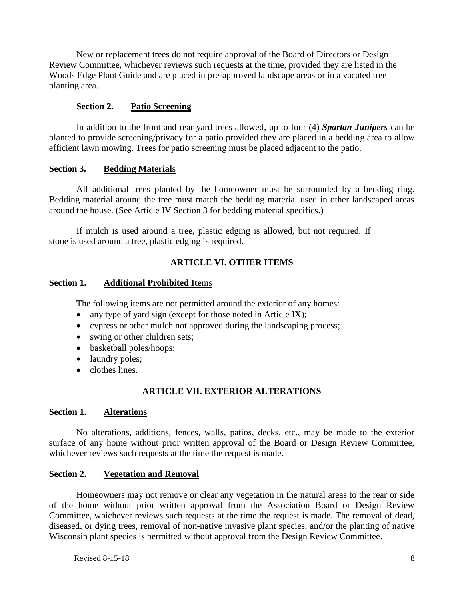New or replacement trees do not require approval of the Board of Directors or Design Review Committee, whichever reviews such requests at the time, provided they are listed in the Woods Edge Plant Guide and are placed in pre-approved landscape areas or in a vacated tree planting area.

## **Section 2. Patio Screening**

In addition to the front and rear yard trees allowed, up to four (4) *Spartan Junipers* can be planted to provide screening/privacy for a patio provided they are placed in a bedding area to allow efficient lawn mowing. Trees for patio screening must be placed adjacent to the patio.

# **Section 3. Bedding Material**s

All additional trees planted by the homeowner must be surrounded by a bedding ring. Bedding material around the tree must match the bedding material used in other landscaped areas around the house. (See Article IV Section 3 for bedding material specifics.)

If mulch is used around a tree, plastic edging is allowed, but not required. If stone is used around a tree, plastic edging is required.

# **ARTICLE VI. OTHER ITEMS**

### **Section 1. Additional Prohibited Ite**ms

The following items are not permitted around the exterior of any homes:

- any type of yard sign (except for those noted in Article IX);
- cypress or other mulch not approved during the landscaping process;
- swing or other children sets;
- basketball poles/hoops;
- laundry poles;
- clothes lines.

# **ARTICLE VII. EXTERIOR ALTERATIONS**

### **Section 1. Alterations**

No alterations, additions, fences, walls, patios, decks, etc., may be made to the exterior surface of any home without prior written approval of the Board or Design Review Committee, whichever reviews such requests at the time the request is made.

# **Section 2. Vegetation and Removal**

Homeowners may not remove or clear any vegetation in the natural areas to the rear or side of the home without prior written approval from the Association Board or Design Review Committee, whichever reviews such requests at the time the request is made. The removal of dead, diseased, or dying trees, removal of non-native invasive plant species, and/or the planting of native Wisconsin plant species is permitted without approval from the Design Review Committee.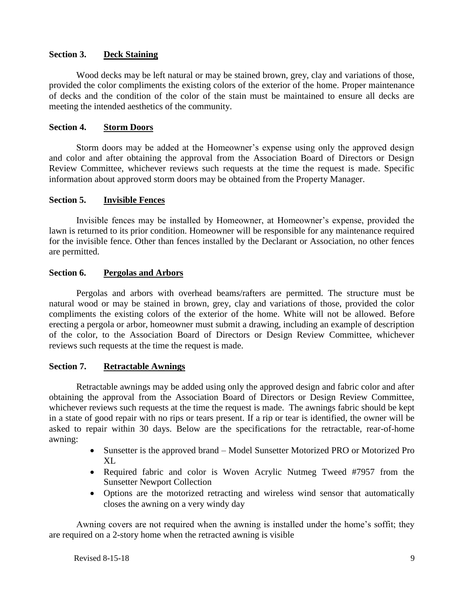# **Section 3. Deck Staining**

Wood decks may be left natural or may be stained brown, grey, clay and variations of those, provided the color compliments the existing colors of the exterior of the home. Proper maintenance of decks and the condition of the color of the stain must be maintained to ensure all decks are meeting the intended aesthetics of the community.

# **Section 4. Storm Doors**

Storm doors may be added at the Homeowner's expense using only the approved design and color and after obtaining the approval from the Association Board of Directors or Design Review Committee, whichever reviews such requests at the time the request is made. Specific information about approved storm doors may be obtained from the Property Manager.

# **Section 5. Invisible Fences**

Invisible fences may be installed by Homeowner, at Homeowner's expense, provided the lawn is returned to its prior condition. Homeowner will be responsible for any maintenance required for the invisible fence. Other than fences installed by the Declarant or Association, no other fences are permitted.

# **Section 6. Pergolas and Arbors**

Pergolas and arbors with overhead beams/rafters are permitted. The structure must be natural wood or may be stained in brown, grey, clay and variations of those, provided the color compliments the existing colors of the exterior of the home. White will not be allowed. Before erecting a pergola or arbor, homeowner must submit a drawing, including an example of description of the color, to the Association Board of Directors or Design Review Committee, whichever reviews such requests at the time the request is made.

### **Section 7. Retractable Awnings**

Retractable awnings may be added using only the approved design and fabric color and after obtaining the approval from the Association Board of Directors or Design Review Committee, whichever reviews such requests at the time the request is made. The awnings fabric should be kept in a state of good repair with no rips or tears present. If a rip or tear is identified, the owner will be asked to repair within 30 days. Below are the specifications for the retractable, rear-of-home awning:

- Sunsetter is the approved brand Model Sunsetter Motorized PRO or Motorized Pro XL
- Required fabric and color is Woven Acrylic Nutmeg Tweed #7957 from the Sunsetter Newport Collection
- Options are the motorized retracting and wireless wind sensor that automatically closes the awning on a very windy day

Awning covers are not required when the awning is installed under the home's soffit; they are required on a 2-story home when the retracted awning is visible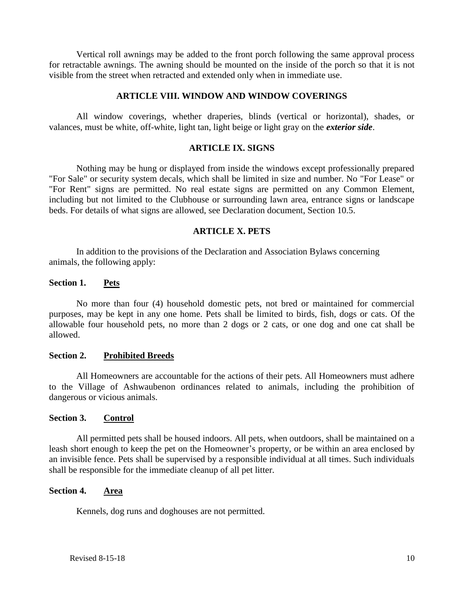Vertical roll awnings may be added to the front porch following the same approval process for retractable awnings. The awning should be mounted on the inside of the porch so that it is not visible from the street when retracted and extended only when in immediate use.

### **ARTICLE VIII. WINDOW AND WINDOW COVERINGS**

All window coverings, whether draperies, blinds (vertical or horizontal), shades, or valances, must be white, off-white, light tan, light beige or light gray on the *exterior side*.

### **ARTICLE IX. SIGNS**

Nothing may be hung or displayed from inside the windows except professionally prepared "For Sale" or security system decals, which shall be limited in size and number. No "For Lease" or "For Rent" signs are permitted. No real estate signs are permitted on any Common Element, including but not limited to the Clubhouse or surrounding lawn area, entrance signs or landscape beds. For details of what signs are allowed, see Declaration document, Section 10.5.

#### **ARTICLE X. PETS**

In addition to the provisions of the Declaration and Association Bylaws concerning animals, the following apply:

#### **Section 1. Pets**

No more than four (4) household domestic pets, not bred or maintained for commercial purposes, may be kept in any one home. Pets shall be limited to birds, fish, dogs or cats. Of the allowable four household pets, no more than 2 dogs or 2 cats, or one dog and one cat shall be allowed.

#### **Section 2. Prohibited Breeds**

All Homeowners are accountable for the actions of their pets. All Homeowners must adhere to the Village of Ashwaubenon ordinances related to animals, including the prohibition of dangerous or vicious animals.

### **Section 3. Control**

All permitted pets shall be housed indoors. All pets, when outdoors, shall be maintained on a leash short enough to keep the pet on the Homeowner's property, or be within an area enclosed by an invisible fence. Pets shall be supervised by a responsible individual at all times. Such individuals shall be responsible for the immediate cleanup of all pet litter.

### **Section 4. Area**

Kennels, dog runs and doghouses are not permitted.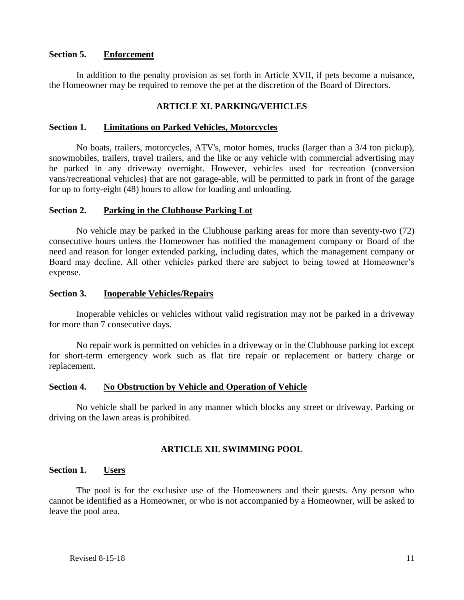### **Section 5. Enforcement**

In addition to the penalty provision as set forth in Article XVII, if pets become a nuisance, the Homeowner may be required to remove the pet at the discretion of the Board of Directors.

### **ARTICLE XI. PARKING/VEHICLES**

#### **Section 1. Limitations on Parked Vehicles, Motorcycles**

No boats, trailers, motorcycles, ATV's, motor homes, trucks (larger than a 3/4 ton pickup), snowmobiles, trailers, travel trailers, and the like or any vehicle with commercial advertising may be parked in any driveway overnight. However, vehicles used for recreation (conversion vans/recreational vehicles) that are not garage-able, will be permitted to park in front of the garage for up to forty-eight (48) hours to allow for loading and unloading.

#### **Section 2. Parking in the Clubhouse Parking Lot**

No vehicle may be parked in the Clubhouse parking areas for more than seventy-two (72) consecutive hours unless the Homeowner has notified the management company or Board of the need and reason for longer extended parking, including dates, which the management company or Board may decline. All other vehicles parked there are subject to being towed at Homeowner's expense.

#### **Section 3. Inoperable Vehicles/Repairs**

Inoperable vehicles or vehicles without valid registration may not be parked in a driveway for more than 7 consecutive days.

No repair work is permitted on vehicles in a driveway or in the Clubhouse parking lot except for short-term emergency work such as flat tire repair or replacement or battery charge or replacement.

#### **Section 4. No Obstruction by Vehicle and Operation of Vehicle**

No vehicle shall be parked in any manner which blocks any street or driveway. Parking or driving on the lawn areas is prohibited.

#### **ARTICLE XII. SWIMMING POOL**

#### **Section 1. Users**

The pool is for the exclusive use of the Homeowners and their guests. Any person who cannot be identified as a Homeowner, or who is not accompanied by a Homeowner, will be asked to leave the pool area.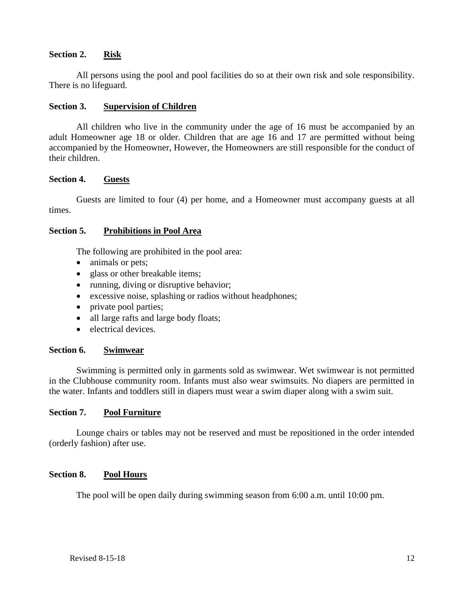# **Section 2. Risk**

All persons using the pool and pool facilities do so at their own risk and sole responsibility. There is no lifeguard.

# **Section 3. Supervision of Children**

All children who live in the community under the age of 16 must be accompanied by an adult Homeowner age 18 or older. Children that are age 16 and 17 are permitted without being accompanied by the Homeowner, However, the Homeowners are still responsible for the conduct of their children.

# **Section 4. Guests**

Guests are limited to four (4) per home, and a Homeowner must accompany guests at all times.

# **Section 5. Prohibitions in Pool Area**

The following are prohibited in the pool area:

- animals or pets;
- glass or other breakable items;
- running, diving or disruptive behavior;
- excessive noise, splashing or radios without headphones;
- private pool parties;
- all large rafts and large body floats;
- electrical devices.

# **Section 6. Swimwear**

Swimming is permitted only in garments sold as swimwear. Wet swimwear is not permitted in the Clubhouse community room. Infants must also wear swimsuits. No diapers are permitted in the water. Infants and toddlers still in diapers must wear a swim diaper along with a swim suit.

### **Section 7. Pool Furniture**

Lounge chairs or tables may not be reserved and must be repositioned in the order intended (orderly fashion) after use.

### **Section 8. Pool Hours**

The pool will be open daily during swimming season from 6:00 a.m. until 10:00 pm.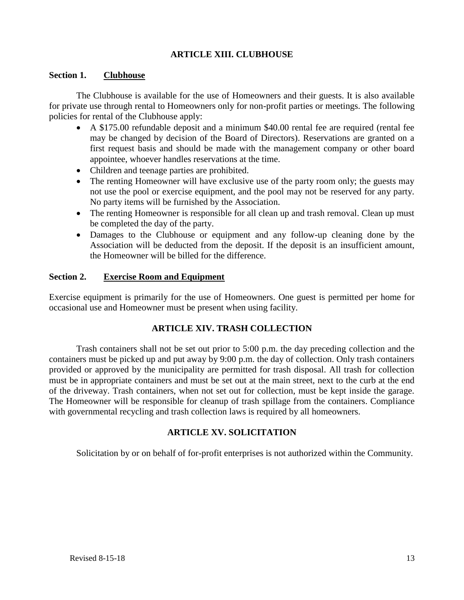# **ARTICLE XIII. CLUBHOUSE**

### **Section 1. Clubhouse**

The Clubhouse is available for the use of Homeowners and their guests. It is also available for private use through rental to Homeowners only for non-profit parties or meetings. The following policies for rental of the Clubhouse apply:

- A \$175.00 refundable deposit and a minimum \$40.00 rental fee are required (rental fee may be changed by decision of the Board of Directors). Reservations are granted on a first request basis and should be made with the management company or other board appointee, whoever handles reservations at the time.
- Children and teenage parties are prohibited.
- The renting Homeowner will have exclusive use of the party room only; the guests may not use the pool or exercise equipment, and the pool may not be reserved for any party. No party items will be furnished by the Association.
- The renting Homeowner is responsible for all clean up and trash removal. Clean up must be completed the day of the party.
- Damages to the Clubhouse or equipment and any follow-up cleaning done by the Association will be deducted from the deposit. If the deposit is an insufficient amount, the Homeowner will be billed for the difference.

### **Section 2. Exercise Room and Equipment**

Exercise equipment is primarily for the use of Homeowners. One guest is permitted per home for occasional use and Homeowner must be present when using facility.

### **ARTICLE XIV. TRASH COLLECTION**

Trash containers shall not be set out prior to 5:00 p.m. the day preceding collection and the containers must be picked up and put away by 9:00 p.m. the day of collection. Only trash containers provided or approved by the municipality are permitted for trash disposal. All trash for collection must be in appropriate containers and must be set out at the main street, next to the curb at the end of the driveway. Trash containers, when not set out for collection, must be kept inside the garage. The Homeowner will be responsible for cleanup of trash spillage from the containers. Compliance with governmental recycling and trash collection laws is required by all homeowners.

# **ARTICLE XV. SOLICITATION**

Solicitation by or on behalf of for-profit enterprises is not authorized within the Community.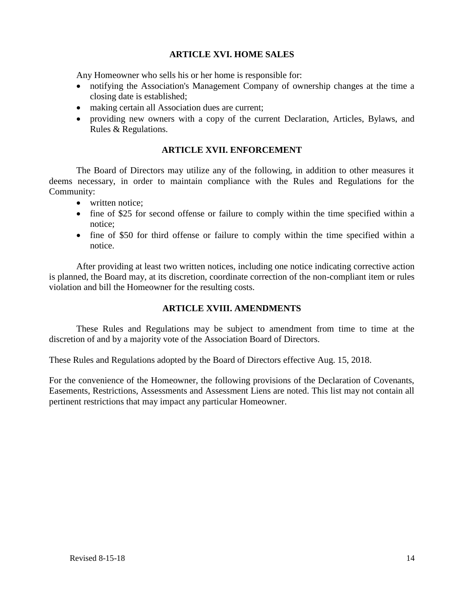# **ARTICLE XVI. HOME SALES**

Any Homeowner who sells his or her home is responsible for:

- notifying the Association's Management Company of ownership changes at the time a closing date is established;
- making certain all Association dues are current;
- providing new owners with a copy of the current Declaration, Articles, Bylaws, and Rules & Regulations.

# **ARTICLE XVII. ENFORCEMENT**

The Board of Directors may utilize any of the following, in addition to other measures it deems necessary, in order to maintain compliance with the Rules and Regulations for the Community:

- written notice:
- fine of \$25 for second offense or failure to comply within the time specified within a notice;
- fine of \$50 for third offense or failure to comply within the time specified within a notice.

After providing at least two written notices, including one notice indicating corrective action is planned, the Board may, at its discretion, coordinate correction of the non-compliant item or rules violation and bill the Homeowner for the resulting costs.

# **ARTICLE XVIII. AMENDMENTS**

These Rules and Regulations may be subject to amendment from time to time at the discretion of and by a majority vote of the Association Board of Directors.

These Rules and Regulations adopted by the Board of Directors effective Aug. 15, 2018.

For the convenience of the Homeowner, the following provisions of the Declaration of Covenants, Easements, Restrictions, Assessments and Assessment Liens are noted. This list may not contain all pertinent restrictions that may impact any particular Homeowner.